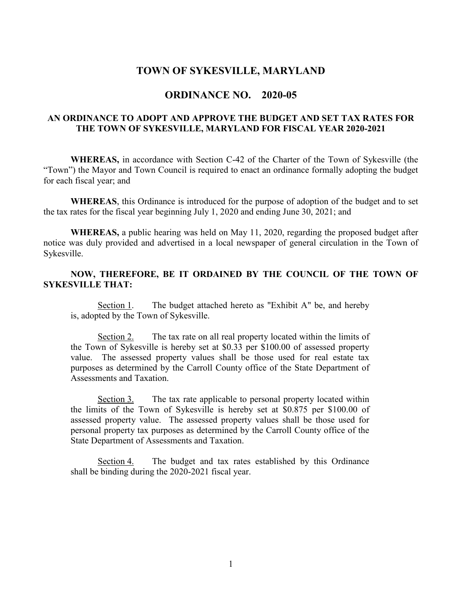### **TOWN OF SYKESVILLE, MARYLAND**

### **ORDINANCE NO. 2020-05**

#### **AN ORDINANCE TO ADOPT AND APPROVE THE BUDGET AND SET TAX RATES FOR THE TOWN OF SYKESVILLE, MARYLAND FOR FISCAL YEAR 2020-2021**

**WHEREAS,** in accordance with Section C-42 of the Charter of the Town of Sykesville (the "Town") the Mayor and Town Council is required to enact an ordinance formally adopting the budget for each fiscal year; and

**WHEREAS**, this Ordinance is introduced for the purpose of adoption of the budget and to set the tax rates for the fiscal year beginning July 1, 2020 and ending June 30, 2021; and

**WHEREAS,** a public hearing was held on May 11, 2020, regarding the proposed budget after notice was duly provided and advertised in a local newspaper of general circulation in the Town of Sykesville.

#### **NOW, THEREFORE, BE IT ORDAINED BY THE COUNCIL OF THE TOWN OF SYKESVILLE THAT:**

Section 1. The budget attached hereto as "Exhibit A" be, and hereby is, adopted by the Town of Sykesville.

Section 2. The tax rate on all real property located within the limits of the Town of Sykesville is hereby set at \$0.33 per \$100.00 of assessed property value. The assessed property values shall be those used for real estate tax purposes as determined by the Carroll County office of the State Department of Assessments and Taxation.

Section 3. The tax rate applicable to personal property located within the limits of the Town of Sykesville is hereby set at \$0.875 per \$100.00 of assessed property value. The assessed property values shall be those used for personal property tax purposes as determined by the Carroll County office of the State Department of Assessments and Taxation.

Section 4. The budget and tax rates established by this Ordinance shall be binding during the 2020-2021 fiscal year.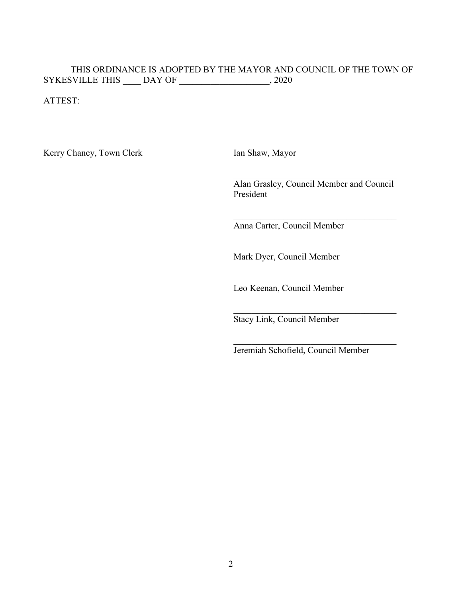# THIS ORDINANCE IS ADOPTED BY THE MAYOR AND COUNCIL OF THE TOWN OF SYKESVILLE THIS \_\_\_\_ DAY OF \_\_\_\_\_\_\_\_\_\_\_\_\_\_\_\_\_\_, 2020

\_\_\_\_\_\_\_\_\_\_\_\_\_\_\_\_\_\_\_\_\_\_\_\_\_\_\_\_\_\_\_\_\_\_ \_\_\_\_\_\_\_\_\_\_\_\_\_\_\_\_\_\_\_\_\_\_\_\_\_\_\_\_\_\_\_\_\_\_\_\_

ATTEST:

Kerry Chaney, Town Clerk Ian Shaw, Mayor

Alan Grasley, Council Member and Council President

\_\_\_\_\_\_\_\_\_\_\_\_\_\_\_\_\_\_\_\_\_\_\_\_\_\_\_\_\_\_\_\_\_\_\_\_

\_\_\_\_\_\_\_\_\_\_\_\_\_\_\_\_\_\_\_\_\_\_\_\_\_\_\_\_\_\_\_\_\_\_\_\_

 $\mathcal{L}_\text{max}$  and  $\mathcal{L}_\text{max}$  and  $\mathcal{L}_\text{max}$  and  $\mathcal{L}_\text{max}$ 

 $\mathcal{L}_\text{max}$  and  $\mathcal{L}_\text{max}$  and  $\mathcal{L}_\text{max}$  and  $\mathcal{L}_\text{max}$ 

Anna Carter, Council Member

Mark Dyer, Council Member

Leo Keenan, Council Member

Stacy Link, Council Member

Jeremiah Schofield, Council Member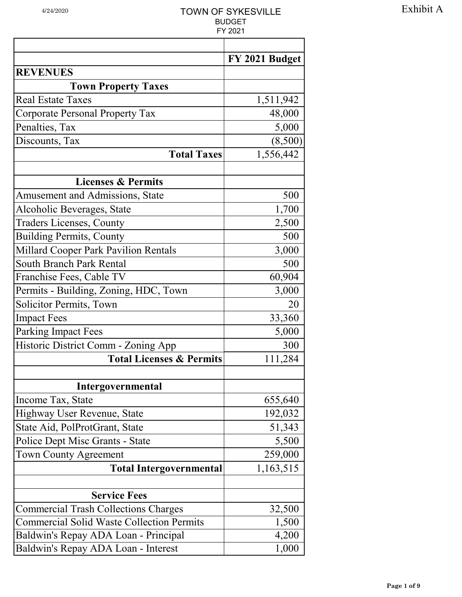|                                                  | 1 <i>L</i> UZ 1 |
|--------------------------------------------------|-----------------|
|                                                  | FY 2021 Budget  |
| <b>REVENUES</b>                                  |                 |
| <b>Town Property Taxes</b>                       |                 |
| <b>Real Estate Taxes</b>                         | 1,511,942       |
| <b>Corporate Personal Property Tax</b>           | 48,000          |
| Penalties, Tax                                   | 5,000           |
| Discounts, Tax                                   | (8,500)         |
| <b>Total Taxes</b>                               | 1,556,442       |
| <b>Licenses &amp; Permits</b>                    |                 |
| <b>Amusement and Admissions, State</b>           | 500             |
| Alcoholic Beverages, State                       | 1,700           |
| <b>Traders Licenses, County</b>                  | 2,500           |
| <b>Building Permits, County</b>                  | 500             |
| <b>Millard Cooper Park Pavilion Rentals</b>      | 3,000           |
| <b>South Branch Park Rental</b>                  | 500             |
| Franchise Fees, Cable TV                         | 60,904          |
| Permits - Building, Zoning, HDC, Town            | 3,000           |
| <b>Solicitor Permits, Town</b>                   | 20              |
| <b>Impact Fees</b>                               | 33,360          |
| <b>Parking Impact Fees</b>                       | 5,000           |
| Historic District Comm - Zoning App              | 300             |
| <b>Total Licenses &amp; Permits</b>              | 111,284         |
|                                                  |                 |
| Intergovernmental                                |                 |
| Income Tax, State                                | 655,640         |
| Highway User Revenue, State                      | 192,032         |
| State Aid, PolProtGrant, State                   | 51,343          |
| Police Dept Misc Grants - State                  | 5,500           |
| <b>Town County Agreement</b>                     | 259,000         |
| <b>Total Intergovernmental</b>                   | 1,163,515       |
|                                                  |                 |
| <b>Service Fees</b>                              |                 |
| <b>Commercial Trash Collections Charges</b>      | 32,500          |
| <b>Commercial Solid Waste Collection Permits</b> | 1,500           |
| Baldwin's Repay ADA Loan - Principal             | 4,200           |
| Baldwin's Repay ADA Loan - Interest              | 1,000           |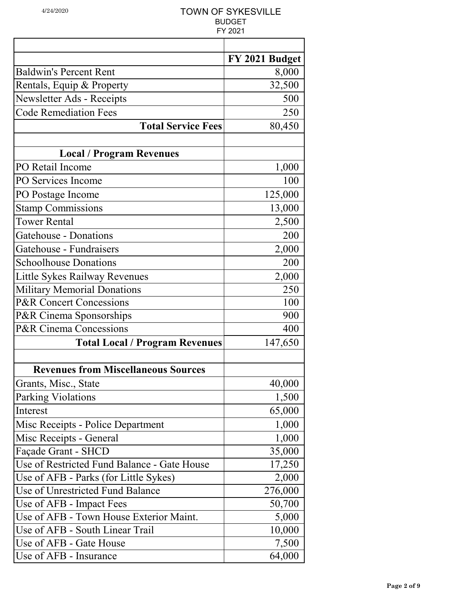|                                             | FY 2021 Budget |
|---------------------------------------------|----------------|
| <b>Baldwin's Percent Rent</b>               | 8,000          |
| Rentals, Equip & Property                   | 32,500         |
| Newsletter Ads - Receipts                   | 500            |
| <b>Code Remediation Fees</b>                | 250            |
| <b>Total Service Fees</b>                   | 80,450         |
| <b>Local / Program Revenues</b>             |                |
| PO Retail Income                            | 1,000          |
| PO Services Income                          | 100            |
| PO Postage Income                           | 125,000        |
| <b>Stamp Commissions</b>                    | 13,000         |
| <b>Tower Rental</b>                         | 2,500          |
| Gatehouse - Donations                       | 200            |
| Gatehouse - Fundraisers                     | 2,000          |
| <b>Schoolhouse Donations</b>                | 200            |
| Little Sykes Railway Revenues               | 2,000          |
| <b>Military Memorial Donations</b>          | 250            |
| <b>P&amp;R Concert Concessions</b>          | 100            |
| P&R Cinema Sponsorships                     | 900            |
| <b>P&amp;R Cinema Concessions</b>           | 400            |
| <b>Total Local / Program Revenues</b>       | 147,650        |
|                                             |                |
| <b>Revenues from Miscellaneous Sources</b>  |                |
| Grants, Misc., State                        | 40,000         |
| <b>Parking Violations</b>                   | 1,500          |
| Interest                                    | 65,000         |
| Misc Receipts - Police Department           | 1,000          |
| Misc Receipts - General                     | 1,000          |
| Façade Grant - SHCD                         | 35,000         |
| Use of Restricted Fund Balance - Gate House | 17,250         |
| Use of AFB - Parks (for Little Sykes)       | 2,000          |
| Use of Unrestricted Fund Balance            | 276,000        |
| Use of AFB - Impact Fees                    | 50,700         |
| Use of AFB - Town House Exterior Maint.     | 5,000          |
| Use of AFB - South Linear Trail             | 10,000         |
| Use of AFB - Gate House                     | 7,500          |
| Use of AFB - Insurance                      | 64,000         |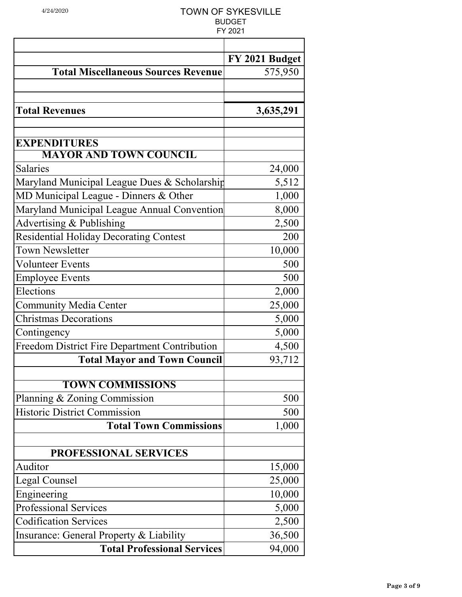|                                                      | FY 2021 Budget |
|------------------------------------------------------|----------------|
| <b>Total Miscellaneous Sources Revenue</b>           | 575,950        |
|                                                      |                |
| <b>Total Revenues</b>                                | 3,635,291      |
|                                                      |                |
| <b>EXPENDITURES</b>                                  |                |
| <b>MAYOR AND TOWN COUNCIL</b>                        |                |
| <b>Salaries</b>                                      | 24,000         |
| Maryland Municipal League Dues & Scholarship         | 5,512          |
| MD Municipal League - Dinners & Other                | 1,000          |
| Maryland Municipal League Annual Convention          | 8,000          |
| Advertising & Publishing                             | 2,500          |
| <b>Residential Holiday Decorating Contest</b>        | 200            |
| <b>Town Newsletter</b>                               | 10,000         |
| <b>Volunteer Events</b>                              | 500            |
| <b>Employee Events</b>                               | 500            |
| Elections                                            | 2,000          |
| <b>Community Media Center</b>                        | 25,000         |
| <b>Christmas Decorations</b>                         | 5,000          |
| Contingency                                          | 5,000          |
| <b>Freedom District Fire Department Contribution</b> | 4,500          |
| <b>Total Mayor and Town Council</b>                  | 93,712         |
| <b>TOWN COMMISSIONS</b>                              |                |
| Planning & Zoning Commission                         | 500            |
| <b>Historic District Commission</b>                  | 500            |
| <b>Total Town Commissions</b>                        | 1,000          |
|                                                      |                |
| <b>PROFESSIONAL SERVICES</b>                         |                |
| Auditor                                              | 15,000         |
| Legal Counsel                                        | 25,000         |
| Engineering                                          | 10,000         |
| <b>Professional Services</b>                         | 5,000          |
| <b>Codification Services</b>                         | 2,500          |
| Insurance: General Property & Liability              | 36,500         |
| <b>Total Professional Services</b>                   | 94,000         |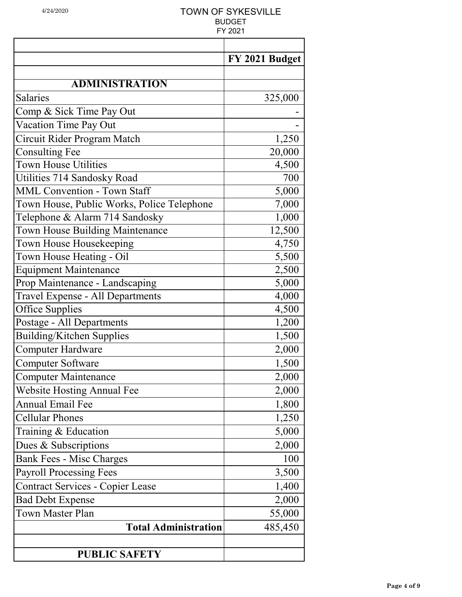|                                            | FY 2021 Budget |
|--------------------------------------------|----------------|
|                                            |                |
| <b>ADMINISTRATION</b>                      |                |
| <b>Salaries</b>                            | 325,000        |
| Comp & Sick Time Pay Out                   |                |
| Vacation Time Pay Out                      |                |
| Circuit Rider Program Match                | 1,250          |
| <b>Consulting Fee</b>                      | 20,000         |
| <b>Town House Utilities</b>                | 4,500          |
| Utilities 714 Sandosky Road                | 700            |
| <b>MML Convention - Town Staff</b>         | 5,000          |
| Town House, Public Works, Police Telephone | 7,000          |
| Telephone & Alarm 714 Sandosky             | 1,000          |
| Town House Building Maintenance            | 12,500         |
| Town House Housekeeping                    | 4,750          |
| Town House Heating - Oil                   | 5,500          |
| <b>Equipment Maintenance</b>               | 2,500          |
| Prop Maintenance - Landscaping             | 5,000          |
| Travel Expense - All Departments           | 4,000          |
| <b>Office Supplies</b>                     | 4,500          |
| Postage - All Departments                  | 1,200          |
| Building/Kitchen Supplies                  | 1,500          |
| <b>Computer Hardware</b>                   | 2,000          |
| <b>Computer Software</b>                   | 1,500          |
| <b>Computer Maintenance</b>                | 2,000          |
| <b>Website Hosting Annual Fee</b>          | 2,000          |
| <b>Annual Email Fee</b>                    | 1,800          |
| <b>Cellular Phones</b>                     | 1,250          |
| Training & Education                       | 5,000          |
| Dues & Subscriptions                       | 2,000          |
| <b>Bank Fees - Misc Charges</b>            | 100            |
| <b>Payroll Processing Fees</b>             | 3,500          |
| <b>Contract Services - Copier Lease</b>    | 1,400          |
| <b>Bad Debt Expense</b>                    | 2,000          |
| <b>Town Master Plan</b>                    | 55,000         |
| <b>Total Administration</b>                | 485,450        |
|                                            |                |
| <b>PUBLIC SAFETY</b>                       |                |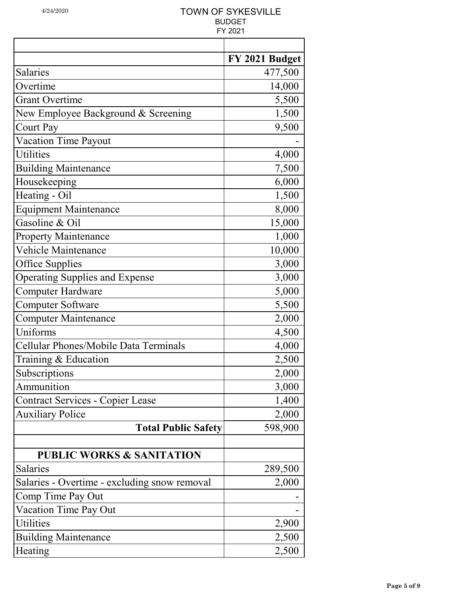|                                              | FY 2021 Budget |
|----------------------------------------------|----------------|
| <b>Salaries</b>                              | 477,500        |
| Overtime                                     | 14,000         |
| <b>Grant Overtime</b>                        | 5,500          |
| New Employee Background & Screening          | 1,500          |
| <b>Court Pay</b>                             | 9,500          |
| <b>Vacation Time Payout</b>                  |                |
| <b>Utilities</b>                             | 4,000          |
| <b>Building Maintenance</b>                  | 7,500          |
| Housekeeping                                 | 6,000          |
| Heating - Oil                                | 1,500          |
| <b>Equipment Maintenance</b>                 | 8,000          |
| Gasoline & Oil                               | 15,000         |
| <b>Property Maintenance</b>                  | 1,000          |
| Vehicle Maintenance                          | 10,000         |
| <b>Office Supplies</b>                       | 3,000          |
| <b>Operating Supplies and Expense</b>        | 3,000          |
| Computer Hardware                            | 5,000          |
| <b>Computer Software</b>                     | 5,500          |
| <b>Computer Maintenance</b>                  | 2,000          |
| Uniforms                                     | 4,500          |
| Cellular Phones/Mobile Data Terminals        | 4,000          |
| Training & Education                         | 2,500          |
| Subscriptions                                | 2,000          |
| Ammunition                                   | 3,000          |
| <b>Contract Services - Copier Lease</b>      | 1,400          |
| <b>Auxiliary Police</b>                      | 2,000          |
| <b>Total Public Safety</b>                   | 598,900        |
|                                              |                |
| <b>PUBLIC WORKS &amp; SANITATION</b>         |                |
| Salaries                                     | 289,500        |
| Salaries - Overtime - excluding snow removal | 2,000          |
| Comp Time Pay Out                            |                |
| Vacation Time Pay Out                        |                |
| <b>Utilities</b>                             | 2,900          |
| <b>Building Maintenance</b>                  | 2,500          |
| Heating                                      | 2,500          |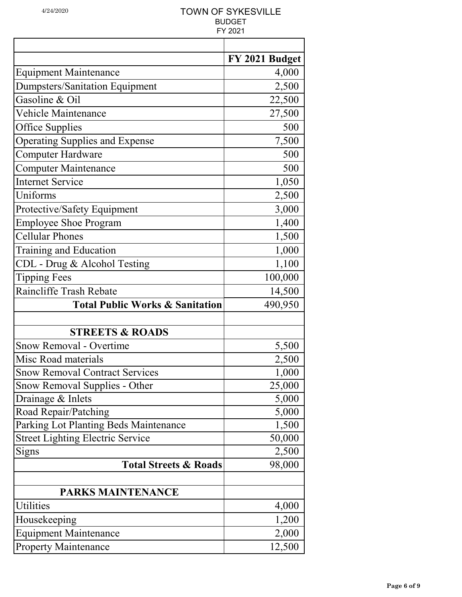|                                            | FY 2021 Budget |
|--------------------------------------------|----------------|
| <b>Equipment Maintenance</b>               | 4,000          |
| <b>Dumpsters/Sanitation Equipment</b>      | 2,500          |
| Gasoline & Oil                             | 22,500         |
| <b>Vehicle Maintenance</b>                 | 27,500         |
| Office Supplies                            | 500            |
| <b>Operating Supplies and Expense</b>      | 7,500          |
| <b>Computer Hardware</b>                   | 500            |
| <b>Computer Maintenance</b>                | 500            |
| <b>Internet Service</b>                    | 1,050          |
| Uniforms                                   | 2,500          |
| Protective/Safety Equipment                | 3,000          |
| <b>Employee Shoe Program</b>               | 1,400          |
| <b>Cellular Phones</b>                     | 1,500          |
| Training and Education                     | 1,000          |
| CDL - Drug & Alcohol Testing               | 1,100          |
| <b>Tipping Fees</b>                        | 100,000        |
| Raincliffe Trash Rebate                    | 14,500         |
| <b>Total Public Works &amp; Sanitation</b> | 490,950        |
|                                            |                |
| <b>STREETS &amp; ROADS</b>                 |                |
| Snow Removal - Overtime                    | 5,500          |
| Misc Road materials                        | 2,500          |
| <b>Snow Removal Contract Services</b>      | 1,000          |
| Snow Removal Supplies - Other              | 25,000         |
| Drainage & Inlets                          | 5,000          |
| Road Repair/Patching                       | 5,000          |
| Parking Lot Planting Beds Maintenance      | 1,500          |
| <b>Street Lighting Electric Service</b>    | 50,000         |
| Signs                                      | 2,500          |
| <b>Total Streets &amp; Roads</b>           | 98,000         |
|                                            |                |
| PARKS MAINTENANCE                          |                |
| <b>Utilities</b>                           | 4,000          |
| Housekeeping                               | 1,200          |
| <b>Equipment Maintenance</b>               | 2,000          |
| <b>Property Maintenance</b>                | 12,500         |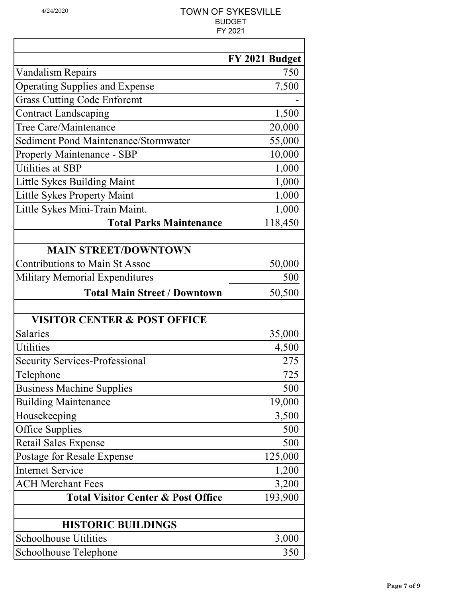|                                                     | FY 2021 Budget |
|-----------------------------------------------------|----------------|
| <b>Vandalism Repairs</b>                            | 750            |
| <b>Operating Supplies and Expense</b>               | 7,500          |
| <b>Grass Cutting Code Enforcmt</b>                  |                |
| <b>Contract Landscaping</b>                         | 1,500          |
| Tree Care/Maintenance                               | 20,000         |
| <b>Sediment Pond Maintenance/Stormwater</b>         | 55,000         |
| <b>Property Maintenance - SBP</b>                   | 10,000         |
| <b>Utilities at SBP</b>                             | 1,000          |
| Little Sykes Building Maint                         | 1,000          |
| Little Sykes Property Maint                         | 1,000          |
| Little Sykes Mini-Train Maint.                      | 1,000          |
| <b>Total Parks Maintenance</b>                      | 118,450        |
|                                                     |                |
| <b>MAIN STREET/DOWNTOWN</b>                         |                |
| <b>Contributions to Main St Assoc</b>               | 50,000         |
| <b>Military Memorial Expenditures</b>               | 500            |
| <b>Total Main Street / Downtown</b>                 | 50,500         |
|                                                     |                |
| <b>VISITOR CENTER &amp; POST OFFICE</b><br>Salaries | 35,000         |
| <b>Utilities</b>                                    | 4,500          |
| <b>Security Services-Professional</b>               | 275            |
| Telephone                                           | 725            |
| <b>Business Machine Supplies</b>                    | 500            |
| <b>Building Maintenance</b>                         | 19,000         |
| Housekeeping                                        | 3,500          |
| Office Supplies                                     | 500            |
| <b>Retail Sales Expense</b>                         | 500            |
| Postage for Resale Expense                          | 125,000        |
| <b>Internet Service</b>                             | 1,200          |
| <b>ACH Merchant Fees</b>                            | 3,200          |
| <b>Total Visitor Center &amp; Post Office</b>       | 193,900        |
|                                                     |                |
| <b>HISTORIC BUILDINGS</b>                           |                |
| <b>Schoolhouse Utilities</b>                        | 3,000          |
| Schoolhouse Telephone                               | 350            |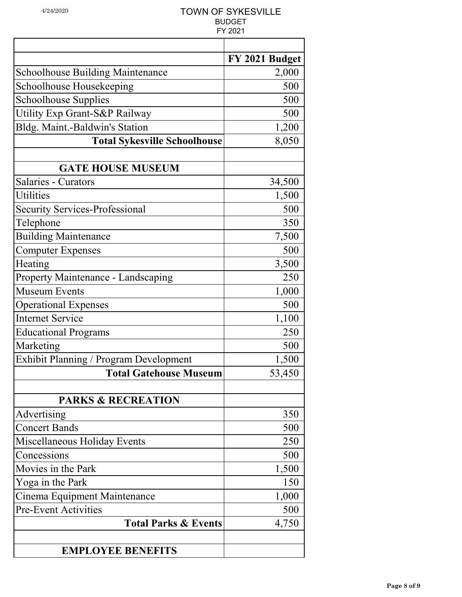|                                         | FY 2021 Budget |
|-----------------------------------------|----------------|
| <b>Schoolhouse Building Maintenance</b> | 2,000          |
| Schoolhouse Housekeeping                | 500            |
| Schoolhouse Supplies                    | 500            |
| Utility Exp Grant-S&P Railway           | 500            |
| Bldg. Maint.-Baldwin's Station          | 1,200          |
| <b>Total Sykesville Schoolhouse</b>     | 8,050          |
|                                         |                |
| <b>GATE HOUSE MUSEUM</b>                |                |
| Salaries - Curators                     | 34,500         |
| <b>Utilities</b>                        | 1,500          |
| <b>Security Services-Professional</b>   | 500            |
| Telephone                               | 350            |
| <b>Building Maintenance</b>             | 7,500          |
| <b>Computer Expenses</b>                | 500            |
| Heating                                 | 3,500          |
| Property Maintenance - Landscaping      | 250            |
| <b>Museum Events</b>                    | 1,000          |
| <b>Operational Expenses</b>             | 500            |
| <b>Internet Service</b>                 | 1,100          |
| <b>Educational Programs</b>             | 250            |
| Marketing                               | 500            |
| Exhibit Planning / Program Development  | 1,500          |
| <b>Total Gatehouse Museum</b>           | 53,450         |
|                                         |                |
| <b>PARKS &amp; RECREATION</b>           |                |
| Advertising                             | 350            |
| <b>Concert Bands</b>                    | 500            |
| Miscellaneous Holiday Events            | 250            |
| Concessions                             | 500            |
| Movies in the Park                      | 1,500          |
| Yoga in the Park                        | 150            |
| Cinema Equipment Maintenance            | 1,000          |
| <b>Pre-Event Activities</b>             | 500            |
| <b>Total Parks &amp; Events</b>         | 4,750          |
|                                         |                |
| <b>EMPLOYEE BENEFITS</b>                |                |